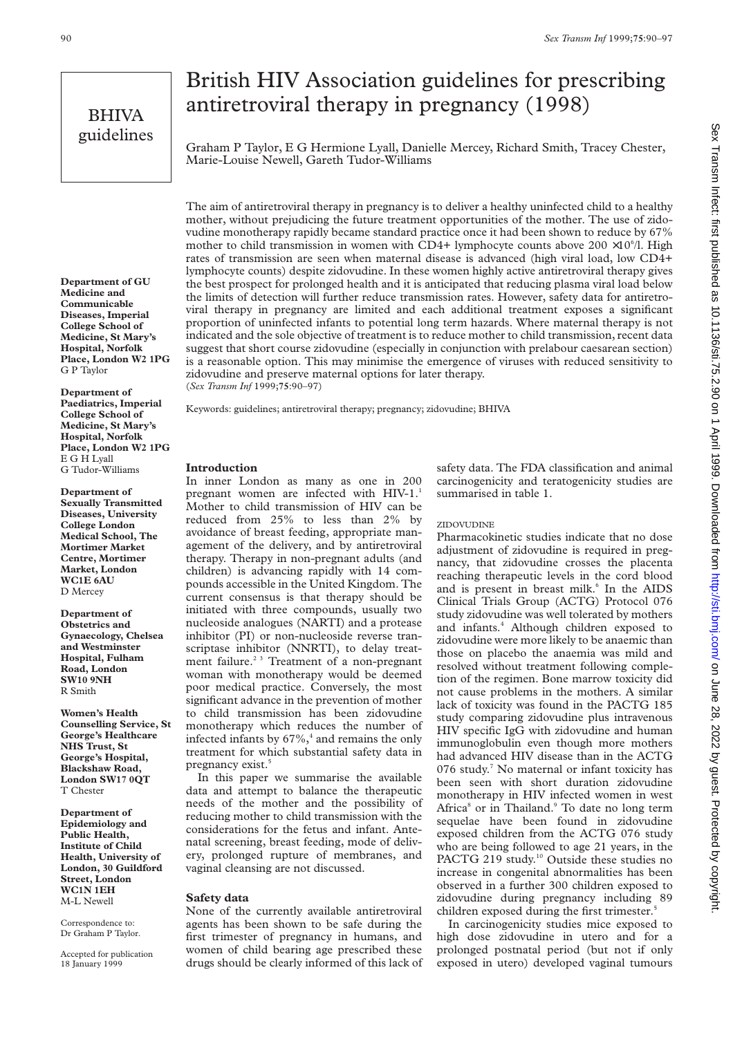# BHIVA guidelines

# British HIV Association guidelines for prescribing antiretroviral therapy in pregnancy (1998)

Graham P Taylor, E G Hermione Lyall, Danielle Mercey, Richard Smith, Tracey Chester, Marie-Louise Newell, Gareth Tudor-Williams

**Department of GU Medicine and Communicable Diseases, Imperial College School of Medicine, St Mary's Hospital, Norfolk Place, London W2 1PG** G P Taylor

**Department of Paediatrics, Imperial College School of Medicine, St Mary's Hospital, Norfolk Place, London W2 1PG** E G H Lyall G Tudor-Williams

**Department of Sexually Transmitted Diseases, University College London Medical School, The Mortimer Market Centre, Mortimer Market, London WC1E 6AU** D Mercey

**Department of Obstetrics and Gynaecology, Chelsea and Westminster Hospital, Fulham Road, London SW10 9NH** R Smith

**Women's Health Counselling Service, St George's Healthcare NHS Trust, St George's Hospital, Blackshaw Road, London SW17 0QT** T Chester

**Department of Epidemiology and Public Health, Institute of Child Health, University of London, 30 Guildford Street, London WC1N 1EH** M-L Newell

Correspondence to: Dr Graham P Taylor.

Accepted for publication 18 January 1999

The aim of antiretroviral therapy in pregnancy is to deliver a healthy uninfected child to a healthy mother, without prejudicing the future treatment opportunities of the mother. The use of zidovudine monotherapy rapidly became standard practice once it had been shown to reduce by 67% mother to child transmission in women with CD4+ lymphocyte counts above  $200 \times 10^{6}/I$ . High rates of transmission are seen when maternal disease is advanced (high viral load, low CD4+ lymphocyte counts) despite zidovudine. In these women highly active antiretroviral therapy gives the best prospect for prolonged health and it is anticipated that reducing plasma viral load below the limits of detection will further reduce transmission rates. However, safety data for antiretroviral therapy in pregnancy are limited and each additional treatment exposes a significant proportion of uninfected infants to potential long term hazards. Where maternal therapy is not indicated and the sole objective of treatment is to reduce mother to child transmission, recent data suggest that short course zidovudine (especially in conjunction with prelabour caesarean section) is a reasonable option. This may minimise the emergence of viruses with reduced sensitivity to zidovudine and preserve maternal options for later therapy. (*Sex Transm Inf* 1999;**75**:90–97)

Keywords: guidelines; antiretroviral therapy; pregnancy; zidovudine; BHIVA

## **Introduction**

In inner London as many as one in 200 pregnant women are infected with HIV-1.<sup>1</sup> Mother to child transmission of HIV can be reduced from 25% to less than 2% by avoidance of breast feeding, appropriate management of the delivery, and by antiretroviral therapy. Therapy in non-pregnant adults (and children) is advancing rapidly with 14 compounds accessible in the United Kingdom. The current consensus is that therapy should be initiated with three compounds, usually two nucleoside analogues (NARTI) and a protease inhibitor (PI) or non-nucleoside reverse transcriptase inhibitor (NNRTI), to delay treatment failure.<sup>23</sup> Treatment of a non-pregnant woman with monotherapy would be deemed poor medical practice. Conversely, the most significant advance in the prevention of mother to child transmission has been zidovudine monotherapy which reduces the number of infected infants by  $67\%,$ <sup>4</sup> and remains the only treatment for which substantial safety data in pregnancy exist.<sup>5</sup>

In this paper we summarise the available data and attempt to balance the therapeutic needs of the mother and the possibility of reducing mother to child transmission with the considerations for the fetus and infant. Antenatal screening, breast feeding, mode of delivery, prolonged rupture of membranes, and vaginal cleansing are not discussed.

# **Safety data**

None of the currently available antiretroviral agents has been shown to be safe during the first trimester of pregnancy in humans, and women of child bearing age prescribed these drugs should be clearly informed of this lack of safety data. The FDA classification and animal carcinogenicity and teratogenicity studies are summarised in table 1.

## ZIDOVUDINE

Pharmacokinetic studies indicate that no dose adjustment of zidovudine is required in pregnancy, that zidovudine crosses the placenta reaching therapeutic levels in the cord blood and is present in breast milk.<sup>6</sup> In the AIDS Clinical Trials Group (ACTG) Protocol 076 study zidovudine was well tolerated by mothers and infants.<sup>4</sup> Although children exposed to zidovudine were more likely to be anaemic than those on placebo the anaemia was mild and resolved without treatment following completion of the regimen. Bone marrow toxicity did not cause problems in the mothers. A similar lack of toxicity was found in the PACTG 185 study comparing zidovudine plus intravenous HIV specific IgG with zidovudine and human immunoglobulin even though more mothers had advanced HIV disease than in the ACTG 076 study.<sup>7</sup> No maternal or infant toxicity has been seen with short duration zidovudine monotherapy in HIV infected women in west Africa<sup>8</sup> or in Thailand.<sup>9</sup> To date no long term sequelae have been found in zidovudine exposed children from the ACTG 076 study who are being followed to age 21 years, in the PACTG 219 study.<sup>10</sup> Outside these studies no increase in congenital abnormalities has been observed in a further 300 children exposed to zidovudine during pregnancy including 89 children exposed during the first trimester.<sup>5</sup>

In carcinogenicity studies mice exposed to high dose zidovudine in utero and for a prolonged postnatal period (but not if only exposed in utero) developed vaginal tumours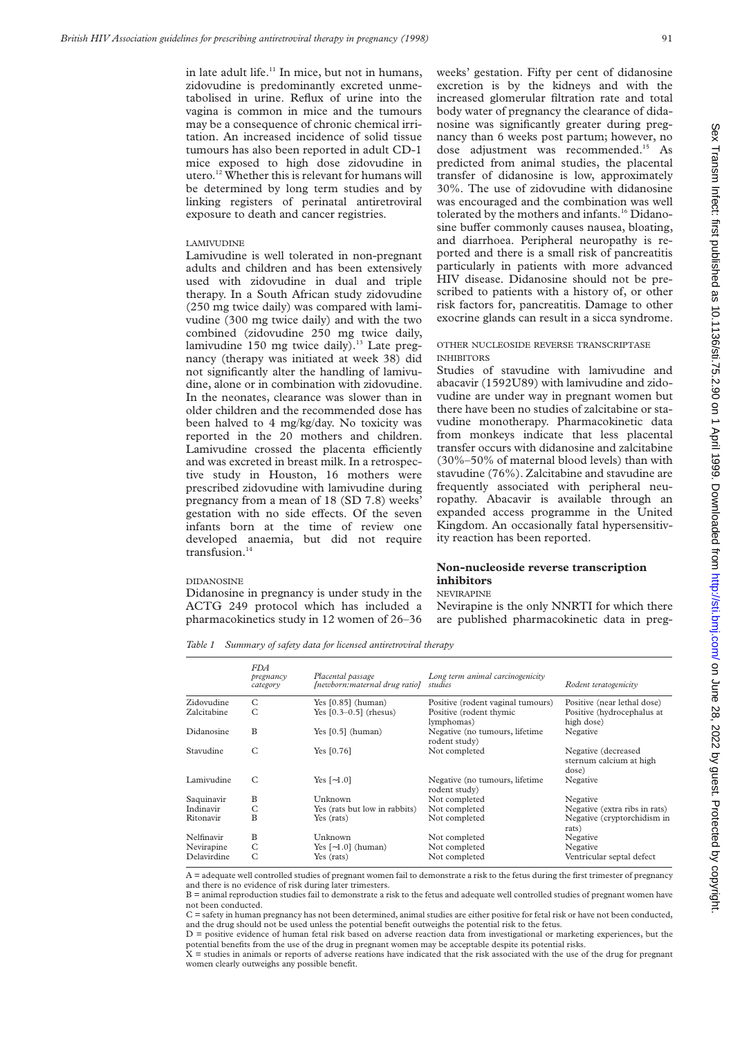in late adult life.<sup>11</sup> In mice, but not in humans, zidovudine is predominantly excreted unmetabolised in urine. Reflux of urine into the vagina is common in mice and the tumours may be a consequence of chronic chemical irritation. An increased incidence of solid tissue tumours has also been reported in adult CD-1 mice exposed to high dose zidovudine in utero.12 Whether this is relevant for humans will be determined by long term studies and by linking registers of perinatal antiretroviral exposure to death and cancer registries.

#### LAMIVUDINE

Lamivudine is well tolerated in non-pregnant adults and children and has been extensively used with zidovudine in dual and triple therapy. In a South African study zidovudine (250 mg twice daily) was compared with lamivudine (300 mg twice daily) and with the two combined (zidovudine 250 mg twice daily, lamivudine 150 mg twice daily).<sup>13</sup> Late pregnancy (therapy was initiated at week 38) did not significantly alter the handling of lamivudine, alone or in combination with zidovudine. In the neonates, clearance was slower than in older children and the recommended dose has been halved to 4 mg/kg/day. No toxicity was reported in the 20 mothers and children. Lamivudine crossed the placenta efficiently and was excreted in breast milk. In a retrospective study in Houston, 16 mothers were prescribed zidovudine with lamivudine during pregnancy from a mean of 18 (SD 7.8) weeks' gestation with no side effects. Of the seven infants born at the time of review one developed anaemia, but did not require transfusion.<sup>14</sup>

#### DIDANOSINE

Didanosine in pregnancy is under study in the ACTG 249 protocol which has included a pharmacokinetics study in 12 women of 26–36

weeks' gestation. Fifty per cent of didanosine excretion is by the kidneys and with the increased glomerular filtration rate and total body water of pregnancy the clearance of didanosine was significantly greater during pregnancy than 6 weeks post partum; however, no dose adjustment was recommended.<sup>15</sup> As predicted from animal studies, the placental transfer of didanosine is low, approximately 30%. The use of zidovudine with didanosine was encouraged and the combination was well tolerated by the mothers and infants.<sup>16</sup> Didanosine buffer commonly causes nausea, bloating, and diarrhoea. Peripheral neuropathy is reported and there is a small risk of pancreatitis particularly in patients with more advanced HIV disease. Didanosine should not be prescribed to patients with a history of, or other risk factors for, pancreatitis. Damage to other exocrine glands can result in a sicca syndrome.

#### OTHER NUCLEOSIDE REVERSE TRANSCRIPTASE INHIBITORS

Studies of stavudine with lamivudine and abacavir (1592U89) with lamivudine and zidovudine are under way in pregnant women but there have been no studies of zalcitabine or stavudine monotherapy. Pharmacokinetic data from monkeys indicate that less placental transfer occurs with didanosine and zalcitabine (30%–50% of maternal blood levels) than with stavudine (76%). Zalcitabine and stavudine are frequently associated with peripheral neuropathy. Abacavir is available through an expanded access programme in the United Kingdom. An occasionally fatal hypersensitivity reaction has been reported.

# **Non-nucleoside reverse transcription inhibitors**

# NEVIRAPINE

Nevirapine is the only NNRTI for which there are published pharmacokinetic data in preg-

*Table 1 Summary of safety data for licensed antiretroviral therapy*

|             | <i>FDA</i><br>pregnancy<br>category | Placental passage<br>[newborn:maternal drug ratio] | Long term animal carcinogenicity<br>studies     | Rodent teratogenicity                                   |
|-------------|-------------------------------------|----------------------------------------------------|-------------------------------------------------|---------------------------------------------------------|
| Zidovudine  | C                                   | Yes $[0.85]$ (human)                               | Positive (rodent vaginal tumours)               | Positive (near lethal dose)                             |
| Zalcitabine | C                                   | Yes $[0.3 - 0.5]$ (rhesus)                         | Positive (rodent thymic<br>lymphomas)           | Positive (hydrocephalus at<br>high dose)                |
| Didanosine  | B                                   | Yes $[0.5]$ (human)                                | Negative (no tumours, lifetime<br>rodent study) | Negative                                                |
| Stavudine   | C                                   | Yes $[0.76]$                                       | Not completed                                   | Negative (decreased<br>sternum calcium at high<br>dose) |
| Lamivudine  | C                                   | Yes $[-1.0]$                                       | Negative (no tumours, lifetime<br>rodent study) | Negative                                                |
| Saquinavir  | B                                   | Unknown                                            | Not completed                                   | Negative                                                |
| Indinavir   | C                                   | Yes (rats but low in rabbits)                      | Not completed                                   | Negative (extra ribs in rats)                           |
| Ritonavir   | B                                   | Yes (rats)                                         | Not completed                                   | Negative (cryptorchidism in<br>rats)                    |
| Nelfinavir  | В                                   | Unknown                                            | Not completed                                   | Negative                                                |
| Nevirapine  | C                                   | Yes $[-1.0]$ (human)                               | Not completed                                   | Negative                                                |
| Delavirdine | С                                   | Yes (rats)                                         | Not completed                                   | Ventricular septal defect                               |

A = adequate well controlled studies of pregnant women fail to demonstrate a risk to the fetus during the first trimester of pregnancy and there is no evidence of risk during later trimesters.

B = animal reproduction studies fail to demonstrate a risk to the fetus and adequate well controlled studies of pregnant women have not been conducted.

C = safety in human pregnancy has not been determined, animal studies are either positive for fetal risk or have not been conducted, and the drug should not be used unless the potential benefit outweighs the potential risk to the fetus.

D = positive evidence of human fetal risk based on adverse reaction data from investigational or marketing experiences, but the potential benefits from the use of the drug in pregnant women may be acceptable despite its potential risks.

X = studies in animals or reports of adverse reations have indicated that the risk associated with the use of the drug for pregnant women clearly outweighs any possible benefit.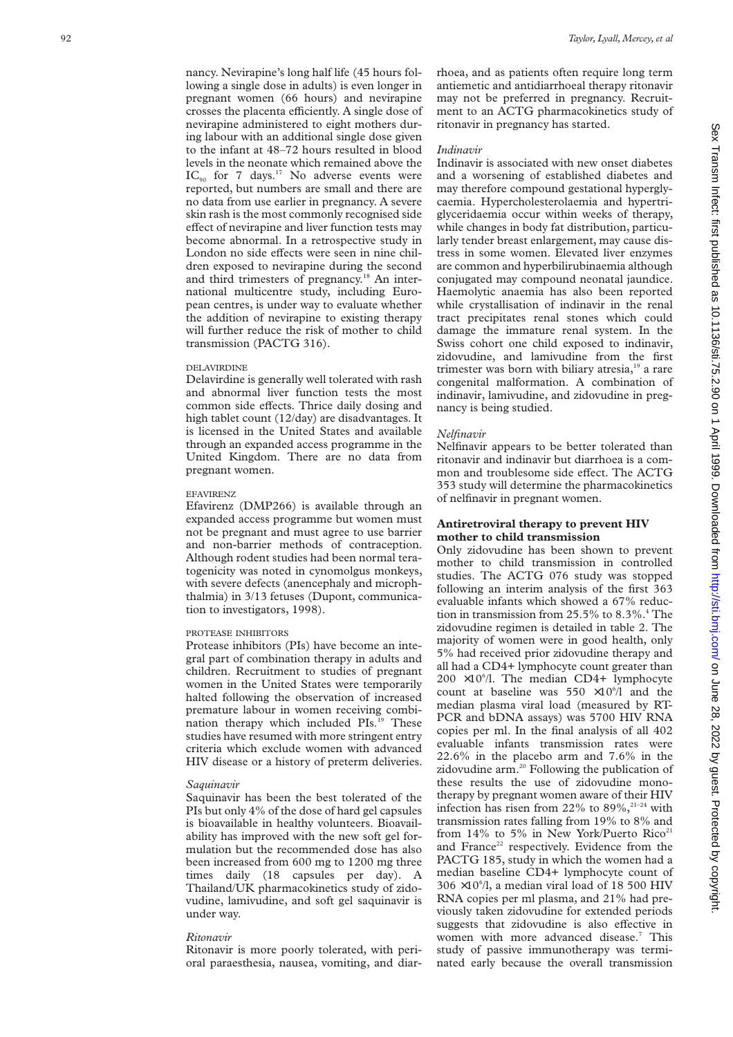nancy. Nevirapine's long half life (45 hours following a single dose in adults) is even longer in pregnant women (66 hours) and nevirapine crosses the placenta efficiently. A single dose of nevirapine administered to eight mothers during labour with an additional single dose given to the infant at 48–72 hours resulted in blood levels in the neonate which remained above the  $IC_{90}$  for 7 days.<sup>17</sup> No adverse events were reported, but numbers are small and there are no data from use earlier in pregnancy. A severe skin rash is the most commonly recognised side effect of nevirapine and liver function tests may become abnormal. In a retrospective study in London no side effects were seen in nine children exposed to nevirapine during the second and third trimesters of pregnancy.<sup>18</sup> An international multicentre study, including European centres, is under way to evaluate whether the addition of nevirapine to existing therapy will further reduce the risk of mother to child transmission (PACTG 316).

#### DELAVIRDINE

Delavirdine is generally well tolerated with rash and abnormal liver function tests the most common side effects. Thrice daily dosing and high tablet count (12/day) are disadvantages. It is licensed in the United States and available through an expanded access programme in the United Kingdom. There are no data from pregnant women.

#### EFAVIRENZ

Efavirenz (DMP266) is available through an expanded access programme but women must not be pregnant and must agree to use barrier and non-barrier methods of contraception. Although rodent studies had been normal teratogenicity was noted in cynomolgus monkeys, with severe defects (anencephaly and microphthalmia) in 3/13 fetuses (Dupont, communication to investigators, 1998).

#### PROTEASE INHIBITORS

Protease inhibitors (PIs) have become an integral part of combination therapy in adults and children. Recruitment to studies of pregnant women in the United States were temporarily halted following the observation of increased premature labour in women receiving combination therapy which included PIs.<sup>19</sup> These studies have resumed with more stringent entry criteria which exclude women with advanced HIV disease or a history of preterm deliveries.

## *Saquinavir*

Saquinavir has been the best tolerated of the PIs but only 4% of the dose of hard gel capsules is bioavailable in healthy volunteers. Bioavailability has improved with the new soft gel formulation but the recommended dose has also been increased from 600 mg to 1200 mg three times daily (18 capsules per day). A Thailand/UK pharmacokinetics study of zidovudine, lamivudine, and soft gel saquinavir is under way.

## *Ritonavir*

Ritonavir is more poorly tolerated, with perioral paraesthesia, nausea, vomiting, and diar-

rhoea, and as patients often require long term antiemetic and antidiarrhoeal therapy ritonavir may not be preferred in pregnancy. Recruitment to an ACTG pharmacokinetics study of ritonavir in pregnancy has started.

# *Indinavir*

Indinavir is associated with new onset diabetes and a worsening of established diabetes and may therefore compound gestational hyperglycaemia. Hypercholesterolaemia and hypertriglyceridaemia occur within weeks of therapy, while changes in body fat distribution, particularly tender breast enlargement, may cause distress in some women. Elevated liver enzymes are common and hyperbilirubinaemia although conjugated may compound neonatal jaundice. Haemolytic anaemia has also been reported while crystallisation of indinavir in the renal tract precipitates renal stones which could damage the immature renal system. In the Swiss cohort one child exposed to indinavir, zidovudine, and lamivudine from the first trimester was born with biliary atresia, $19$  a rare congenital malformation. A combination of indinavir, lamivudine, and zidovudine in pregnancy is being studied.

## *Nelfinavir*

Nelfinavir appears to be better tolerated than ritonavir and indinavir but diarrhoea is a common and troublesome side effect. The ACTG 353 study will determine the pharmacokinetics of nelfinavir in pregnant women.

# **Antiretroviral therapy to prevent HIV mother to child transmission**

Only zidovudine has been shown to prevent mother to child transmission in controlled studies. The ACTG 076 study was stopped following an interim analysis of the first 363 evaluable infants which showed a 67% reduction in transmission from 25.5% to  $8.3\%$ .<sup>4</sup> The zidovudine regimen is detailed in table 2. The majority of women were in good health, only 5% had received prior zidovudine therapy and all had a CD4+ lymphocyte count greater than  $200 \times 10^{6}$ /l. The median CD4+ lymphocyte count at baseline was  $550 \times 10^{6}/1$  and the median plasma viral load (measured by RT-PCR and bDNA assays) was 5700 HIV RNA copies per ml. In the final analysis of all 402 evaluable infants transmission rates were 22.6% in the placebo arm and 7.6% in the zidovudine arm.20 Following the publication of these results the use of zidovudine monotherapy by pregnant women aware of their HIV infection has risen from 22% to  $89\%$ ,<sup>21-24</sup> with transmission rates falling from 19% to 8% and from  $14\%$  to 5% in New York/Puerto Rico<sup>21</sup> and France<sup>22</sup> respectively. Evidence from the PACTG 185, study in which the women had a median baseline CD4+ lymphocyte count of  $306 \times 10^{6}$ , a median viral load of 18 500 HIV RNA copies per ml plasma, and 21% had previously taken zidovudine for extended periods suggests that zidovudine is also effective in women with more advanced disease.<sup>7</sup> This study of passive immunotherapy was terminated early because the overall transmission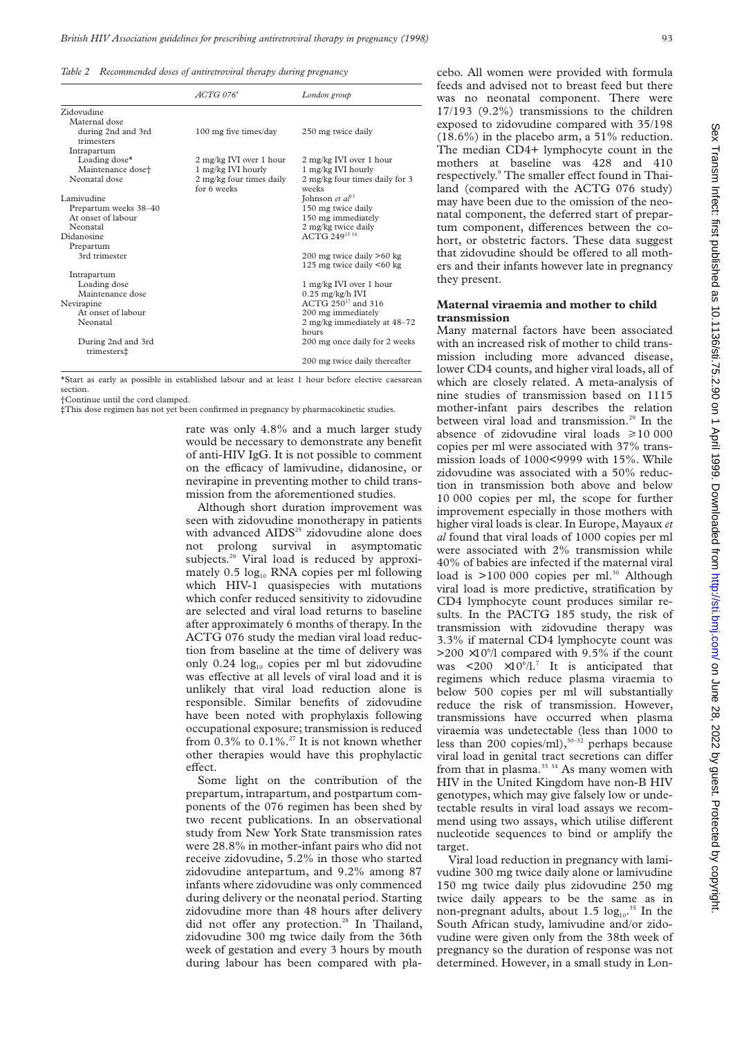*Table 2 Recommended doses of antiretroviral therapy during pregnancy*

|                                                       | $ACTG$ 076 <sup>4</sup>                       | London group                                           |
|-------------------------------------------------------|-----------------------------------------------|--------------------------------------------------------|
| Zidovudine                                            |                                               |                                                        |
| Maternal dose                                         |                                               |                                                        |
| during 2nd and 3rd<br>trimesters                      | 100 mg five times/day                         | 250 mg twice daily                                     |
| Intrapartum                                           |                                               |                                                        |
| Loading dose $\star$<br>Maintenance dose <sup>+</sup> | 2 mg/kg IVI over 1 hour<br>1 mg/kg IVI hourly | 2 mg/kg IVI over 1 hour<br>1 mg/kg IVI hourly          |
| Neonatal dose                                         | 2 mg/kg four times daily<br>for 6 weeks       | 2 mg/kg four times daily for 3<br>weeks                |
| Lamivudine                                            |                                               | Johnson et $al^{13}$                                   |
| Prepartum weeks 38-40                                 |                                               | 150 mg twice daily                                     |
| At onset of labour                                    |                                               | 150 mg immediately                                     |
| Neonatal                                              |                                               | 2 mg/kg twice daily                                    |
| Didanosine                                            |                                               | ACTG 24915 16                                          |
| Prepartum                                             |                                               |                                                        |
| 3rd trimester                                         |                                               | 200 mg twice daily >60 kg<br>125 mg twice daily <60 kg |
| Intrapartum                                           |                                               |                                                        |
| Loading dose                                          |                                               | 1 mg/kg IVI over 1 hour                                |
| Maintenance dose                                      |                                               | $0.25$ mg/kg/h IVI                                     |
| Nevirapine                                            |                                               | ACTG 250 <sup>17</sup> and 316                         |
| At onset of labour                                    |                                               | 200 mg immediately                                     |
| Neonatal                                              |                                               | 2 mg/kg immediately at 48-72<br>hours                  |
| During 2nd and 3rd<br>trimesters‡                     |                                               | 200 mg once daily for 2 weeks                          |
|                                                       |                                               | 200 mg twice daily thereafter                          |

\*Start as early as possible in established labour and at least 1 hour before elective caesarean section.

†Continue until the cord clamped.

‡This dose regimen has not yet been confirmed in pregnancy by pharmacokinetic studies.

rate was only 4.8% and a much larger study would be necessary to demonstrate any benefit of anti-HIV IgG. It is not possible to comment on the efficacy of lamivudine, didanosine, or nevirapine in preventing mother to child transmission from the aforementioned studies.

Although short duration improvement was seen with zidovudine monotherapy in patients with advanced  $AIDS^{25}$  zidovudine alone does not prolong survival in asymptomatic subjects.<sup>26</sup> Viral load is reduced by approximately  $0.5 \log_{10}$  RNA copies per ml following which HIV-1 quasispecies with mutations which confer reduced sensitivity to zidovudine are selected and viral load returns to baseline after approximately 6 months of therapy. In the ACTG 076 study the median viral load reduction from baseline at the time of delivery was only  $0.24 \log_{10}$  copies per ml but zidovudine was effective at all levels of viral load and it is unlikely that viral load reduction alone is responsible. Similar benefits of zidovudine have been noted with prophylaxis following occupational exposure; transmission is reduced from  $0.3\%$  to  $0.1\%$ <sup>27</sup> It is not known whether other therapies would have this prophylactic effect.

Some light on the contribution of the prepartum, intrapartum, and postpartum components of the 076 regimen has been shed by two recent publications. In an observational study from New York State transmission rates were 28.8% in mother-infant pairs who did not receive zidovudine, 5.2% in those who started zidovudine antepartum, and 9.2% among 87 infants where zidovudine was only commenced during delivery or the neonatal period. Starting zidovudine more than 48 hours after delivery did not offer any protection.<sup>28</sup> In Thailand, zidovudine 300 mg twice daily from the 36th week of gestation and every 3 hours by mouth during labour has been compared with pla-

cebo. All women were provided with formula feeds and advised not to breast feed but there was no neonatal component. There were 17/193 (9.2%) transmissions to the children exposed to zidovudine compared with 35/198 (18.6%) in the placebo arm, a 51% reduction. The median CD4+ lymphocyte count in the mothers at baseline was 428 and 410 respectively.<sup>9</sup> The smaller effect found in Thailand (compared with the ACTG 076 study) may have been due to the omission of the neonatal component, the deferred start of prepartum component, differences between the cohort, or obstetric factors. These data suggest that zidovudine should be offered to all mothers and their infants however late in pregnancy they present.

## **Maternal viraemia and mother to child transmission**

Many maternal factors have been associated with an increased risk of mother to child transmission including more advanced disease, lower CD4 counts, and higher viral loads, all of which are closely related. A meta-analysis of nine studies of transmission based on 1115 mother-infant pairs describes the relation between viral load and transmission.<sup>29</sup> In the absence of zidovudine viral loads  $\geq 10000$ copies per ml were associated with 37% transmission loads of 1000<9999 with 15%. While zidovudine was associated with a 50% reduction in transmission both above and below 10 000 copies per ml, the scope for further improvement especially in those mothers with higher viral loads is clear. In Europe, Mayaux *et al* found that viral loads of 1000 copies per ml were associated with 2% transmission while 40% of babies are infected if the maternal viral load is  $>100 000$  copies per ml.<sup>30</sup> Although viral load is more predictive, stratification by CD4 lymphocyte count produces similar results. In the PACTG 185 study, the risk of transmission with zidovudine therapy was 3.3% if maternal CD4 lymphocyte count was  $>200 \times 10^{6}$ /l compared with 9.5% if the count was  $\langle 200 \times 10^6 / 1 \rangle^7$  It is anticipated that regimens which reduce plasma viraemia to below 500 copies per ml will substantially reduce the risk of transmission. However, transmissions have occurred when plasma viraemia was undetectable (less than 1000 to less than 200 copies/ml), $30-32$  perhaps because viral load in genital tract secretions can differ from that in plasma. $33 \frac{34}{1}$  As many women with HIV in the United Kingdom have non-B HIV genotypes, which may give falsely low or undetectable results in viral load assays we recommend using two assays, which utilise different nucleotide sequences to bind or amplify the target.

Viral load reduction in pregnancy with lamivudine 300 mg twice daily alone or lamivudine 150 mg twice daily plus zidovudine 250 mg twice daily appears to be the same as in non-pregnant adults, about  $1.5 \log_{10}$ .<sup>35</sup> In the South African study, lamivudine and/or zidovudine were given only from the 38th week of pregnancy so the duration of response was not determined. However, in a small study in Lon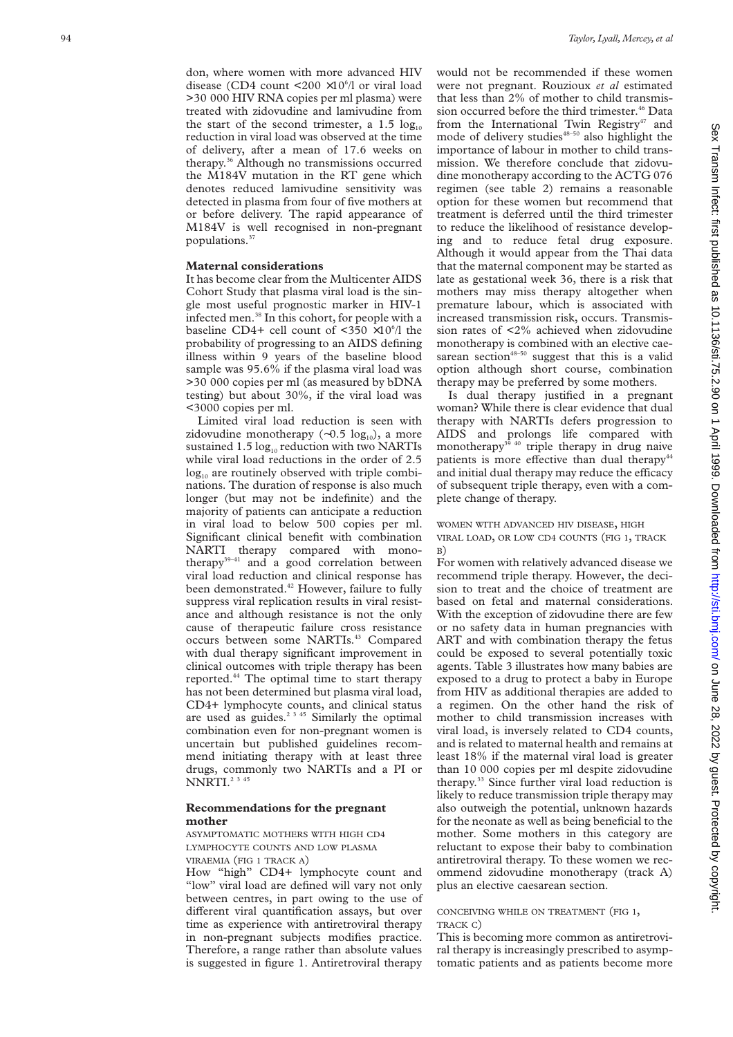don, where women with more advanced HIV disease (CD4 count <200  $\times$ 10<sup>6</sup>/l or viral load >30 000 HIV RNA copies per ml plasma) were treated with zidovudine and lamivudine from the start of the second trimester, a  $1.5 \log_{10}$ reduction in viral load was observed at the time of delivery, after a mean of 17.6 weeks on therapy.36 Although no transmissions occurred the M184V mutation in the RT gene which denotes reduced lamivudine sensitivity was detected in plasma from four of five mothers at or before delivery. The rapid appearance of M184V is well recognised in non-pregnant populations.37

## **Maternal considerations**

It has become clear from the Multicenter AIDS Cohort Study that plasma viral load is the single most useful prognostic marker in HIV-1 infected men.<sup>38</sup> In this cohort, for people with a baseline CD4+ cell count of  $\langle 350 \times 10^6 / 1 \rangle$  the probability of progressing to an AIDS defining illness within 9 years of the baseline blood sample was 95.6% if the plasma viral load was >30 000 copies per ml (as measured by bDNA testing) but about 30%, if the viral load was <3000 copies per ml.

Limited viral load reduction is seen with zidovudine monotherapy (~0.5 log<sub>10</sub>), a more sustained  $1.5 \log_{10}$  reduction with two NARTIs while viral load reductions in the order of 2.5  $log_{10}$  are routinely observed with triple combinations. The duration of response is also much longer (but may not be indefinite) and the majority of patients can anticipate a reduction in viral load to below 500 copies per ml. Significant clinical benefit with combination NARTI therapy compared with monotherapy<sup>39-41</sup> and a good correlation between viral load reduction and clinical response has been demonstrated.<sup>42</sup> However, failure to fully suppress viral replication results in viral resistance and although resistance is not the only cause of therapeutic failure cross resistance occurs between some NARTIs.<sup>43</sup> Compared with dual therapy significant improvement in clinical outcomes with triple therapy has been reported.<sup>44</sup> The optimal time to start therapy has not been determined but plasma viral load, CD4+ lymphocyte counts, and clinical status are used as guides.<sup>2 3 45</sup> Similarly the optimal combination even for non-pregnant women is uncertain but published guidelines recommend initiating therapy with at least three drugs, commonly two NARTIs and a PI or NNRTI.<sup>2 3 45</sup>

## **Recommendations for the pregnant mother**

ASYMPTOMATIC MOTHERS WITH HIGH CD4 LYMPHOCYTE COUNTS AND LOW PLASMA VIRAEMIA (FIG 1 TRACK A)

How "high" CD4+ lymphocyte count and "low" viral load are defined will vary not only between centres, in part owing to the use of different viral quantification assays, but over time as experience with antiretroviral therapy in non-pregnant subjects modifies practice. Therefore, a range rather than absolute values is suggested in figure 1. Antiretroviral therapy

would not be recommended if these women were not pregnant. Rouzioux *et al* estimated that less than 2% of mother to child transmission occurred before the third trimester.<sup>46</sup> Data from the International Twin Registry<sup>47</sup> and mode of delivery studies $48-50$  also highlight the importance of labour in mother to child transmission. We therefore conclude that zidovudine monotherapy according to the ACTG 076 regimen (see table 2) remains a reasonable option for these women but recommend that treatment is deferred until the third trimester to reduce the likelihood of resistance developing and to reduce fetal drug exposure. Although it would appear from the Thai data that the maternal component may be started as late as gestational week 36, there is a risk that mothers may miss therapy altogether when premature labour, which is associated with increased transmission risk, occurs. Transmission rates of <2% achieved when zidovudine monotherapy is combined with an elective caesarean section $48-50$  suggest that this is a valid option although short course, combination therapy may be preferred by some mothers.

Is dual therapy justified in a pregnant woman? While there is clear evidence that dual therapy with NARTIs defers progression to AIDS and prolongs life compared with monotherapy<sup>39</sup> <sup>40</sup> triple therapy in drug naive patients is more effective than dual therapy<sup>44</sup> and initial dual therapy may reduce the efficacy of subsequent triple therapy, even with a complete change of therapy.

#### WOMEN WITH ADVANCED HIV DISEASE, HIGH VIRAL LOAD, OR LOW CD4 COUNTS (FIG 1, TRACK B)

For women with relatively advanced disease we recommend triple therapy. However, the decision to treat and the choice of treatment are based on fetal and maternal considerations. With the exception of zidovudine there are few or no safety data in human pregnancies with ART and with combination therapy the fetus could be exposed to several potentially toxic agents. Table 3 illustrates how many babies are exposed to a drug to protect a baby in Europe from HIV as additional therapies are added to a regimen. On the other hand the risk of mother to child transmission increases with viral load, is inversely related to CD4 counts, and is related to maternal health and remains at least 18% if the maternal viral load is greater than 10 000 copies per ml despite zidovudine therapy.33 Since further viral load reduction is likely to reduce transmission triple therapy may also outweigh the potential, unknown hazards for the neonate as well as being beneficial to the mother. Some mothers in this category are reluctant to expose their baby to combination antiretroviral therapy. To these women we recommend zidovudine monotherapy (track A) plus an elective caesarean section.

#### CONCEIVING WHILE ON TREATMENT (FIG 1, TRACK C)

This is becoming more common as antiretroviral therapy is increasingly prescribed to asymptomatic patients and as patients become more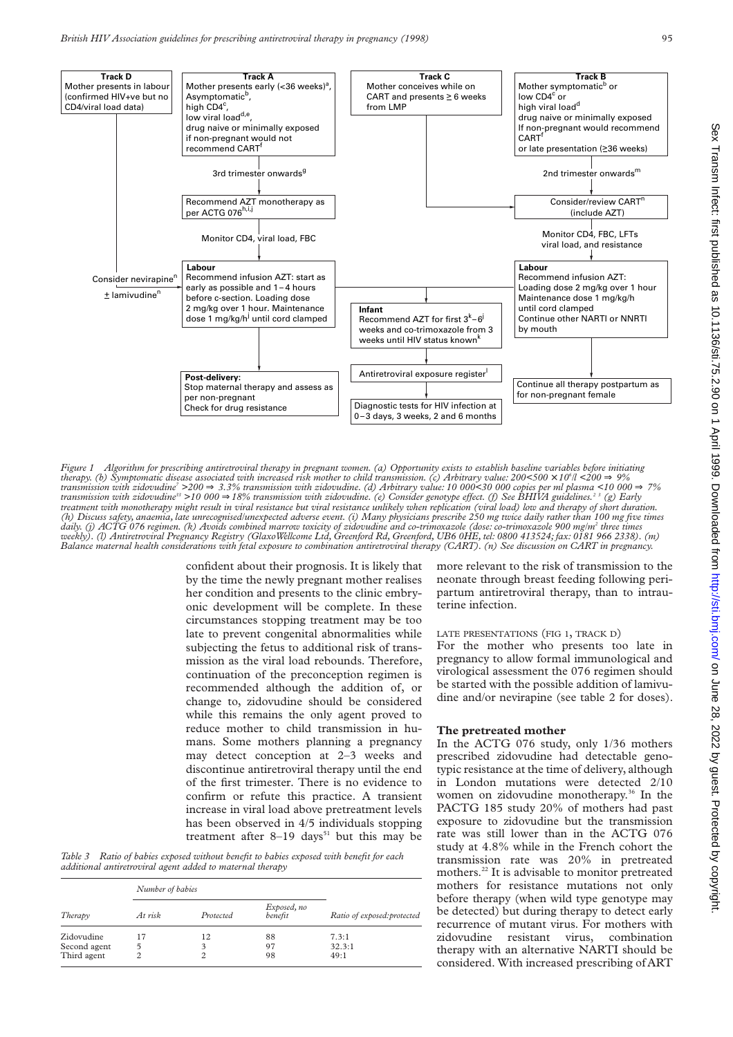

*Figure 1 Algorithm for prescribing antiretroviral therapy in pregnant women. (a) Opportunity exists to establish baseline variables before initiating therapy. (b) Symptomatic disease associated with increased risk mother to child transmission. (c) Arbitrary value: 200<500 × 10°|l <200*  $\Rightarrow$  *9% transmission with zidovudine7 >200* ⇒ *3.3% transmission with zidovudine. (d) Arbitrary value: 10 000<30 000 copies per ml plasma <10 000* ⇒ *7% transmission with zidovudine<sup>33</sup> >10 000 ⇒18% transmission with zidovudine. (e) Consider genotype effect. (f) See BHIVA guidelines.<sup>23</sup> (g) Early treatment with monotherapy might result in viral resistance but viral resistance unlikely when replication (viral load) low and therapy of short duration. (h) Discuss safety, anaemia, late unrecognised/unexpected adverse event. (i) Many physicians prescribe 250 mg twice daily rather than 100 mg five times daily. (j) ACTG 076 regimen. (k) Avoids combined marrow toxicity of zidovudine and co-trimoxazole (dose: co-trimoxazole 900 mg/m2 three times weekly). (l) Antiretroviral Pregnancy Registry (GlaxoWellcome Ltd, Greenford Rd, Greenford, UB6 0HE, tel: 0800 413524; fax: 0181 966 2338). (m) Balance maternal health considerations with fetal exposure to combination antiretroviral therapy (CART). (n) See discussion on CART in pregnancy.*

confident about their prognosis. It is likely that by the time the newly pregnant mother realises her condition and presents to the clinic embryonic development will be complete. In these circumstances stopping treatment may be too late to prevent congenital abnormalities while subjecting the fetus to additional risk of transmission as the viral load rebounds. Therefore, continuation of the preconception regimen is recommended although the addition of, or change to, zidovudine should be considered while this remains the only agent proved to reduce mother to child transmission in humans. Some mothers planning a pregnancy may detect conception at 2–3 weeks and discontinue antiretroviral therapy until the end of the first trimester. There is no evidence to confirm or refute this practice. A transient increase in viral load above pretreatment levels has been observed in 4/5 individuals stopping treatment after  $8-19$  days<sup>51</sup> but this may be

*Table 3 Ratio of babies exposed without benefit to babies exposed with benefit for each additional antiretroviral agent added to maternal therapy*

|              | Number of babies |           |                        |                             |
|--------------|------------------|-----------|------------------------|-----------------------------|
| Therapy      | At risk          | Protected | Exposed, no<br>benefit | Ratio of exposed: protected |
| Zidovudine   | 17               | 12        | 88                     | 7.3:1                       |
| Second agent | 5                |           | 97                     | 32.3:1                      |
| Third agent  | 2                |           | 98                     | 49:1                        |

more relevant to the risk of transmission to the neonate through breast feeding following peripartum antiretroviral therapy, than to intrauterine infection.

#### LATE PRESENTATIONS (FIG 1, TRACK D)

For the mother who presents too late in pregnancy to allow formal immunological and virological assessment the 076 regimen should be started with the possible addition of lamivudine and/or nevirapine (see table 2 for doses).

#### **The pretreated mother**

In the ACTG 076 study, only 1/36 mothers prescribed zidovudine had detectable genotypic resistance at the time of delivery, although in London mutations were detected 2/10 women on zidovudine monotherapy.<sup>36</sup> In the PACTG 185 study 20% of mothers had past exposure to zidovudine but the transmission rate was still lower than in the ACTG 076 study at 4.8% while in the French cohort the transmission rate was 20% in pretreated mothers.<sup>22</sup> It is advisable to monitor pretreated mothers for resistance mutations not only before therapy (when wild type genotype may be detected) but during therapy to detect early recurrence of mutant virus. For mothers with zidovudine resistant virus, combination therapy with an alternative NARTI should be considered. With increased prescribing of ART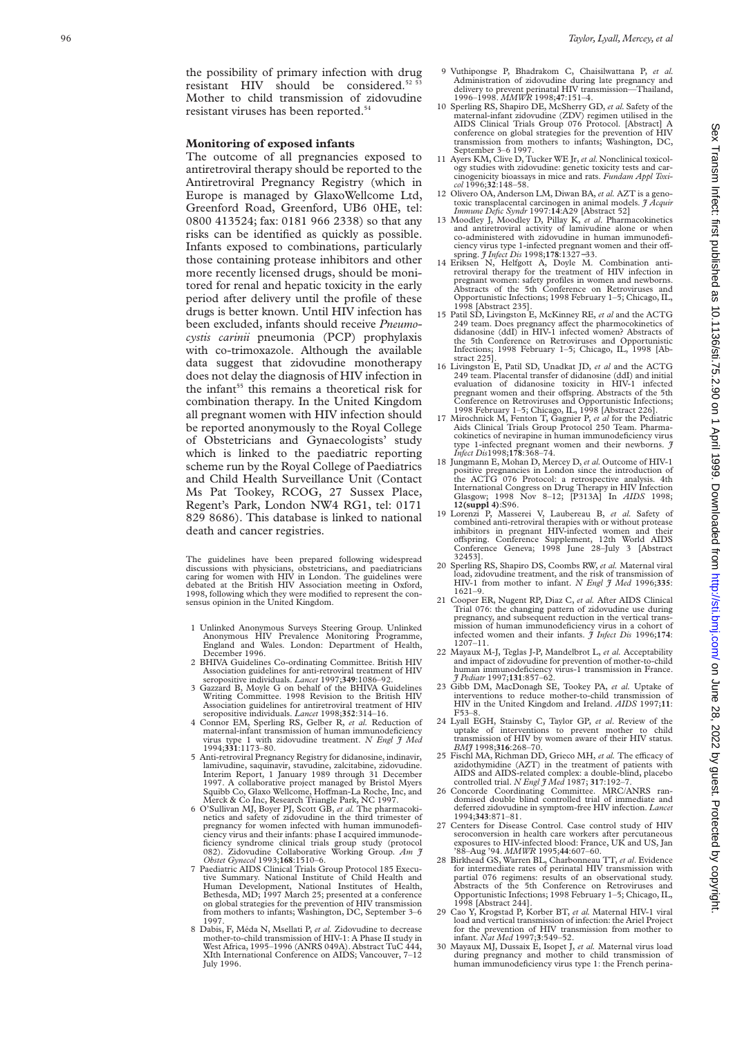the possibility of primary infection with drug resistant HIV should be considered.<sup>52 53</sup> Mother to child transmission of zidovudine resistant viruses has been reported.54

## **Monitoring of exposed infants**

The outcome of all pregnancies exposed to antiretroviral therapy should be reported to the Antiretroviral Pregnancy Registry (which in Europe is managed by GlaxoWellcome Ltd, Greenford Road, Greenford, UB6 0HE, tel: 0800 413524; fax: 0181 966 2338) so that any risks can be identified as quickly as possible. Infants exposed to combinations, particularly those containing protease inhibitors and other more recently licensed drugs, should be monitored for renal and hepatic toxicity in the early period after delivery until the profile of these drugs is better known. Until HIV infection has been excluded, infants should receive *Pneumocystis carinii* pneumonia (PCP) prophylaxis with co-trimoxazole. Although the available data suggest that zidovudine monotherapy does not delay the diagnosis of HIV infection in the infant<sup>55</sup> this remains a theoretical risk for combination therapy. In the United Kingdom all pregnant women with HIV infection should be reported anonymously to the Royal College of Obstetricians and Gynaecologists' study which is linked to the paediatric reporting scheme run by the Royal College of Paediatrics and Child Health Surveillance Unit (Contact Ms Pat Tookey, RCOG, 27 Sussex Place, Regent's Park, London NW4 RG1, tel: 0171 829 8686). This database is linked to national death and cancer registries.

The guidelines have been prepared following widespread discussions with physicians, obstetricians, and paediatricians caring for women with HIV in London. The guidelines were debated at the British HIV Association meeting in Oxford, 1998, following which they were modified to represent the consensus opinion in the United Kingdom.

- 1 Unlinked Anonymous Surveys Steering Group. Unlinked Anonymous HIV Prevalence Monitoring Programme, England and Wales. London: Department of Health, December 1996.
- 2 BHIVA Guidelines Co-ordinating Committee. British HIV Association guidelines for anti-retroviral treatment of HIV seropositive individuals. *Lancet* 1997;**349**:1086–92.
- 3 Gazzard B, Moyle G on behalf of the BHIVA Guidelines Writing Committee. 1998 Revision to the British HIV Association guidelines for antiretroviral treatment of HIV seropositive individuals. *Lancet* 1998;**352**:314–16.
- 4 Connor EM, Sperling RS, Gelber R, *et al.* Reduction of maternal-infant transmission of human immunodeficiency virus type 1 with zidovudine treatment. *N Engl J Med* 1994;**331**:1173–80.
- 5 Anti-retroviral Pregnancy Registry for didanosine, indinavir, lamivudine, saquinavir, stavudine, zalcitabine, zidovudine. Interim Report, 1 January 1989 through 31 December A collaborative project managed by Bristol Myers Squibb Co, Glaxo Wellcome, Hoffman-La Roche, Inc, and Merck & Co Inc, Research Triangle Park, NC 1997.
- 6 O'Sullivan MJ, Boyer PJ, Scott GB, *et al.* The pharmacokinetics and safety of zidovudine in the third trimester of pregnancy for women infected with human immunodeficiency virus and their infants: phase I acquired immunodeficiency syndrome clinical trials group study (protocol 082). Zidovudine Collaborative Working Group. *Am J Obstet Gynecol* 1993;**168**:1510–6.
- 7 Paediatric AIDS Clinical Trials Group Protocol 185 Executive Summary. National Institute of Child Health and Human Development, National Institutes of Health, Bethesda, MD; 1997 March 25; presented at a conference on global strategies for the prevention of HIV transmission from mothers to infants; Washington, DC, September 3–6 1997.
- 8 Dabis, F, Méda N, Msellati P, *et al.* Zidovudine to decrease mother-to-child transmission of HIV-1: A Phase II study in West Africa, 1995–1996 (ANRS 049A). Abstract TuC 444, XIth International Conference on AIDS; Vancouver, 7–12 July 1996.
- 9 Vuthipongse P, Bhadrakom C, Chaisilwattana P, *et al.* Administration of zidovudine during late pregnancy and delivery to prevent perinatal HIV transmission—Thailand, 1996–1998. *MMWR* 1998;**47**:151–4.
- 10 Sperling RS, Shapiro DE, McSherry GD, *et al.* Safety of the maternal-infant zidovudine (ZDV) regimen utilised in the AIDS Clinical Trials Group 076 Protocol. [Abstract] A conference on global strategies for the prevention of HIV transmission from mothers to infants; Washington, DC, September 3–6 1997.
- 11 Ayers KM, Clive D, Tucker WE Jr, *et al.*Nonclinical toxicology studies with zidovudine: genetic toxicity tests and carcinogenicity bioassays in mice and rats. *Fundam Appl Toxicol* 1996;**32**:148–58.
- 12 Olivero OA, Anderson LM, Diwan BA, *et al.* AZT is a genotoxic transplacental carcinogen in animal models. *J Acquir Immune Defic Syndr* 1997:**14**:A29 [Abstract 52]
- 13 Moodley J, Moodley D, Pillay K, *et al*. Pharmacokinetics and antiretroviral activity of lamivudine alone or when co-administered with zidovudine in human immunodeficiency virus type 1-infected pregnant women and their off-
- spring. *J Infect Dis* 1998;**178**:1327−33. 14 Eriksen N, Helfgott A, Doyle M. Combination antiretroviral therapy for the treatment of HIV infection in pregnant women: safety profiles in women and newborns. Abstracts of the 5th Conference on Retroviruses and Opportunistic Infections; 1998 February 1–5; Chicago, IL, 1998 [Abstract 235].
- 15 Patil SD, Livingston E, McKinney RE, *et al* and the ACTG 249 team. Does pregnancy affect the pharmocokinetics of didanosine (ddI) in HIV-1 infected women? Abstracts of the 5th Conference on Retroviruses and Opportunistic Infections; 1998 February 1–5; Chicago, IL, 1998 [Abstract 225].
- 16 Livingston E, Patil SD, Unadkat JD, *et al* and the ACTG 249 team. Placental transfer of didanosine (ddI) and initial evaluation of didanosine toxicity in HIV-1 infected pregnant women and their offspring. Abstracts of the 5th Conference on Retroviruses and Opportunistic Infections; 1998 February 1–5; Chicago, IL, 1998 [Abstract 226].
- 17 Mirochnick M, Fenton T, Gagnier P, *et al* for the Pediatric Aids Clinical Trials Group Protocol 250 Team. Pharma-cokinetics of nevirapine in human immunodeficiency virus type 1-infected pregnant women and their newborns. *J Infect Dis*1998;**178**:368–74.
- 18 Jungmann E, Mohan D, Mercey D, *et al.* Outcome of HIV-1 positive pregnancies in London since the introduction of the ACTG 076 Protocol: a retrospective analysis. 4th International Congress on Drug Therapy in HIV Infection Glasgow; 1998 Nov 8–12; [P313A] In *AIDS* 1998; **12(suppl 4)**:S96.
- 19 Lorenzi P, Masserei V, Laubereau B, *et al.* Safety of combined anti-retroviral therapies with or without protease inhibitors in pregnant HIV-infected women and their offspring. Conference Supplement, 12th World AIDS Conference Geneva; 1998 June 28–July 3 [Abstract 32453].
- 20 Sperling RS, Shapiro DS, Coombs RW, *et al.* Maternal viral load, zidovudine treatment, and the risk of transmission of HIV-1 from mother to infant. *N Engl J Med* 1996;**335**: 1621–9.
- 21 Cooper ER, Nugent RP, Diaz C, *et al.* After AIDS Clinical Trial 076: the changing pattern of zidovudine use during pregnancy, and subsequent reduction in the vertical transmission of human immunodeficiency virus in a cohort of infected women and their infants. *J Infect Dis* 1996;**174**: 1207–11.
- 22 Mayaux M-J, Teglas J-P, Mandelbrot L, *et al.* Acceptability and impact of zidovudine for prevention of mother-to-child human immunodeficiency virus-1 transmission in France. *J Pediatr* 1997;**131**:857–62.
- 23 Gibb DM, MacDonagh SE, Tookey PA, *et al.* Uptake of interventions to reduce mother-to-child transmission of HIV in the United Kingdom and Ireland. *AIDS* 1997;**11**: F53–8.
- 24 Lyall EGH, Stainsby C, Taylor GP, *et al*. Review of the uptake of interventions to prevent mother to child transmission of HIV by women aware of their HIV status. *BMJ* 1998;**316**:268–70.
- 25 Fischl MA, Richman DD, Grieco MH, et al. The efficacy of azidothymidine (AZT) in the treatment of patients with AIDS and AIDS-related complex: a double-blind, placebo controlled trial. *N Engl J Med* 1987; **317**:192–7.
- 26 Concorde Coordinating Committee. MRC/ANRS ran-domised double blind controlled trial of immediate and deferred zidovudine in symptom-free HIV infection. *Lancet* 1994;**343**:871–81.
- Centers for Disease Control. Case control study of HIV seroconversion in health care workers after percutaneous exposures to HIV-infected blood: France, UK and US, Jan '88–Aug '94. *MMWR* 1995;**44**:607–60.
- 28 Birkhead GS, Warren BL, Charbonneau TT, *et al.* Evidence for intermediate rates of perinatal HIV transmission with partial 076 regimens: results of an observational study. Abstracts of the 5th Conference on Retroviruses and Opportunistic Infections; 1998 February 1–5; Chicago, IL, 1998 [Abstract 244].
- 29 Cao Y, Krogstad P, Korber BT, *et al.* Maternal HIV-1 viral load and vertical transmission of infection: the Ariel Project for the prevention of HIV transmission from mother to infant. *Nat Med* 1997;**3**:549–52.
- 30 Mayaux MJ, Dussaix E, Isopet J, *et al.* Maternal virus load during pregnancy and mother to child transmission of human immunodeficiency virus type 1: the French perina-